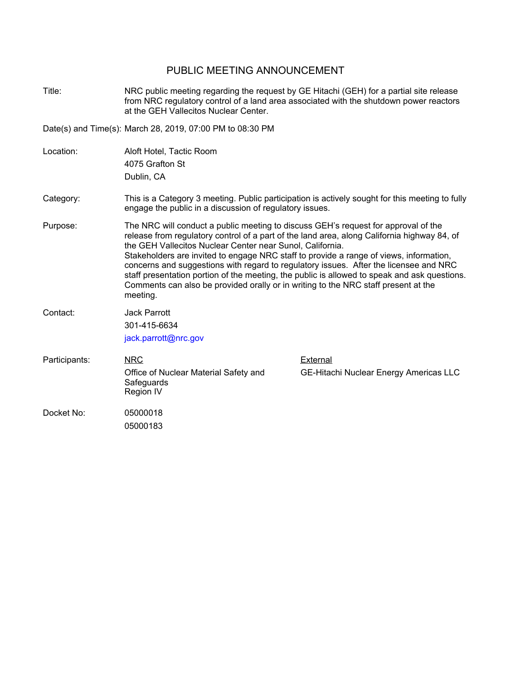## PUBLIC MEETING ANNOUNCEMENT

Title: NRC public meeting regarding the request by GE Hitachi (GEH) for a partial site release from NRC regulatory control of a land area associated with the shutdown power reactors at the GEH Vallecitos Nuclear Center.

Date(s) and Time(s): March 28, 2019, 07:00 PM to 08:30 PM

- Location: Aloft Hotel, Tactic Room 4075 Grafton St Dublin, CA
- Category: This is a Category 3 meeting. Public participation is actively sought for this meeting to fully engage the public in a discussion of regulatory issues.
- Purpose: The NRC will conduct a public meeting to discuss GEH's request for approval of the release from regulatory control of a part of the land area, along California highway 84, of the GEH Vallecitos Nuclear Center near Sunol, California. Stakeholders are invited to engage NRC staff to provide a range of views, information, concerns and suggestions with regard to regulatory issues. After the licensee and NRC staff presentation portion of the meeting, the public is allowed to speak and ask questions. Comments can also be provided orally or in writing to the NRC staff present at the meeting.
- Contact: Jack Parrott 301-415-6634
- NRC Office of Nuclear Material Safety and **Safeguards** Region IV Participants: NRC NRC External

jack.parrott@nrc.gov

GE-Hitachi Nuclear Energy Americas LLC

Docket No: 05000018 05000183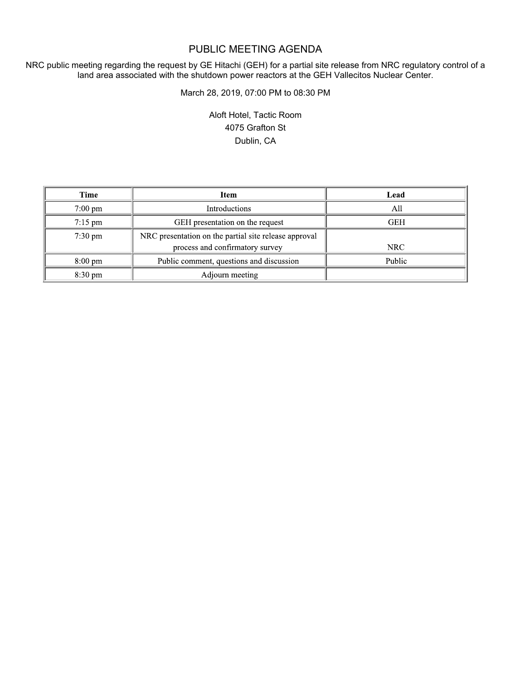## PUBLIC MEETING AGENDA

NRC public meeting regarding the request by GE Hitachi (GEH) for a partial site release from NRC regulatory control of a land area associated with the shutdown power reactors at the GEH Vallecitos Nuclear Center.

March 28, 2019, 07:00 PM to 08:30 PM

Aloft Hotel, Tactic Room 4075 Grafton St Dublin, CA

| Time              | Item                                                  | Lead       |
|-------------------|-------------------------------------------------------|------------|
| $7:00 \text{ pm}$ | <b>Introductions</b>                                  | A11        |
| $7:15 \text{ pm}$ | GEH presentation on the request                       | <b>GEH</b> |
| $7:30 \text{ pm}$ | NRC presentation on the partial site release approval |            |
|                   | process and confirmatory survey                       | NRC        |
| $8:00 \text{ pm}$ | Public comment, questions and discussion              | Public     |
| $8:30 \text{ pm}$ | Adjourn meeting                                       |            |